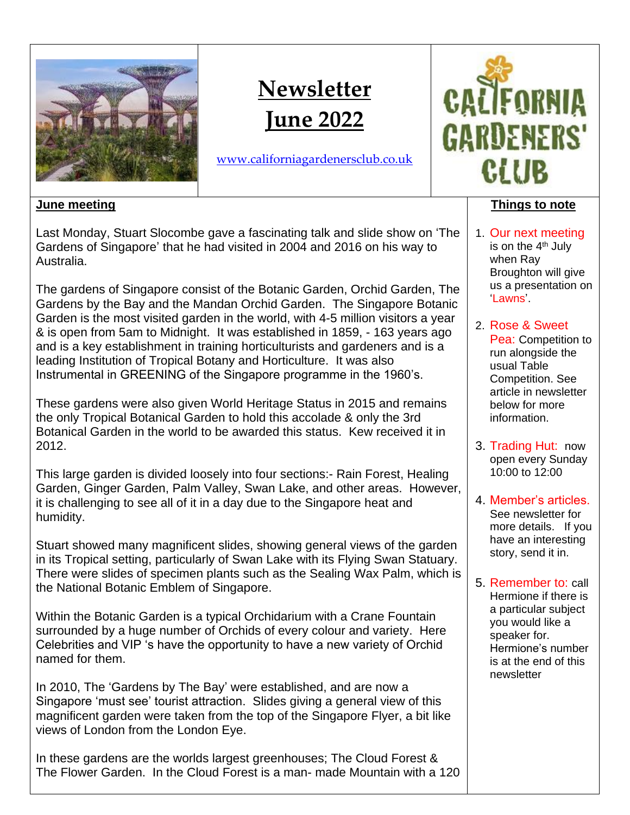

# **Newsletter June 2022**

[www.californiagardenersclub.co.uk](http://www.californiagardenersclub.co.uk/)



# **June meeting**

Last Monday, Stuart Slocombe gave a fascinating talk and slide show on 'The Gardens of Singapore' that he had visited in 2004 and 2016 on his way to Australia.

The gardens of Singapore consist of the Botanic Garden, Orchid Garden, The Gardens by the Bay and the Mandan Orchid Garden. The Singapore Botanic Garden is the most visited garden in the world, with 4-5 million visitors a year & is open from 5am to Midnight. It was established in 1859, - 163 years ago and is a key establishment in training horticulturists and gardeners and is a leading Institution of Tropical Botany and Horticulture. It was also Instrumental in GREENING of the Singapore programme in the 1960's.

These gardens were also given World Heritage Status in 2015 and remains the only Tropical Botanical Garden to hold this accolade & only the 3rd Botanical Garden in the world to be awarded this status. Kew received it in 2012.

This large garden is divided loosely into four sections:- Rain Forest, Healing Garden, Ginger Garden, Palm Valley, Swan Lake, and other areas. However, it is challenging to see all of it in a day due to the Singapore heat and humidity.

Stuart showed many magnificent slides, showing general views of the garden in its Tropical setting, particularly of Swan Lake with its Flying Swan Statuary. There were slides of specimen plants such as the Sealing Wax Palm, which is the National Botanic Emblem of Singapore.

Within the Botanic Garden is a typical Orchidarium with a Crane Fountain surrounded by a huge number of Orchids of every colour and variety. Here Celebrities and VIP 's have the opportunity to have a new variety of Orchid named for them.

In 2010, The 'Gardens by The Bay' were established, and are now a Singapore 'must see' tourist attraction. Slides giving a general view of this magnificent garden were taken from the top of the Singapore Flyer, a bit like views of London from the London Eye.

In these gardens are the worlds largest greenhouses; The Cloud Forest & The Flower Garden. In the Cloud Forest is a man- made Mountain with a 120

#### **Things to note**

- 1. Our next meeting is on the 4<sup>th</sup> July when Ray Broughton will give us a presentation on 'Lawns'.
- 2. Rose & Sweet Pea: Competition to run alongside the usual Table Competition. See article in newsletter below for more information.
- 3. Trading Hut: now open every Sunday 10:00 to 12:00
- 4. Member's articles. See newsletter for more details. If you have an interesting story, send it in.
- 5. Remember to: call Hermione if there is a particular subject you would like a speaker for. Hermione's number is at the end of this newsletter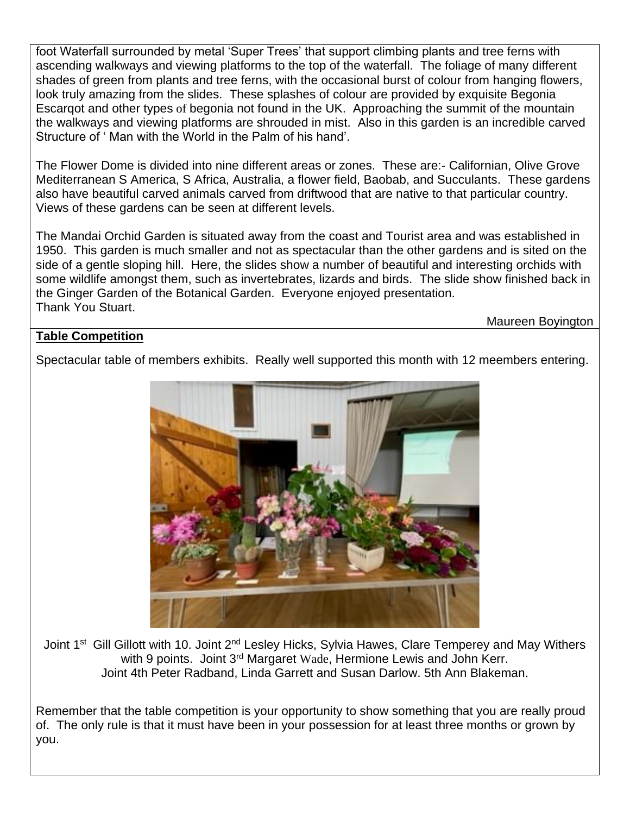foot Waterfall surrounded by metal 'Super Trees' that support climbing plants and tree ferns with ascending walkways and viewing platforms to the top of the waterfall. The foliage of many different shades of green from plants and tree ferns, with the occasional burst of colour from hanging flowers, look truly amazing from the slides. These splashes of colour are provided by exquisite Begonia Escarqot and other types of begonia not found in the UK. Approaching the summit of the mountain the walkways and viewing platforms are shrouded in mist. Also in this garden is an incredible carved Structure of ' Man with the World in the Palm of his hand'.

The Flower Dome is divided into nine different areas or zones. These are:- Californian, Olive Grove Mediterranean S America, S Africa, Australia, a flower field, Baobab, and Succulants. These gardens also have beautiful carved animals carved from driftwood that are native to that particular country. Views of these gardens can be seen at different levels.

The Mandai Orchid Garden is situated away from the coast and Tourist area and was established in 1950. This garden is much smaller and not as spectacular than the other gardens and is sited on the side of a gentle sloping hill. Here, the slides show a number of beautiful and interesting orchids with some wildlife amongst them, such as invertebrates, lizards and birds. The slide show finished back in the Ginger Garden of the Botanical Garden. Everyone enjoyed presentation. Thank You Stuart.

Maureen Boyington

# **Table Competition**

Spectacular table of members exhibits. Really well supported this month with 12 meembers entering.



Joint 1<sup>st</sup> Gill Gillott with 10. Joint 2<sup>nd</sup> Lesley Hicks, Sylvia Hawes, Clare Temperey and May Withers with 9 points. Joint 3<sup>rd</sup> Margaret Wade, Hermione Lewis and John Kerr. Joint 4th Peter Radband, Linda Garrett and Susan Darlow. 5th Ann Blakeman.

Remember that the table competition is your opportunity to show something that you are really proud of. The only rule is that it must have been in your possession for at least three months or grown by you.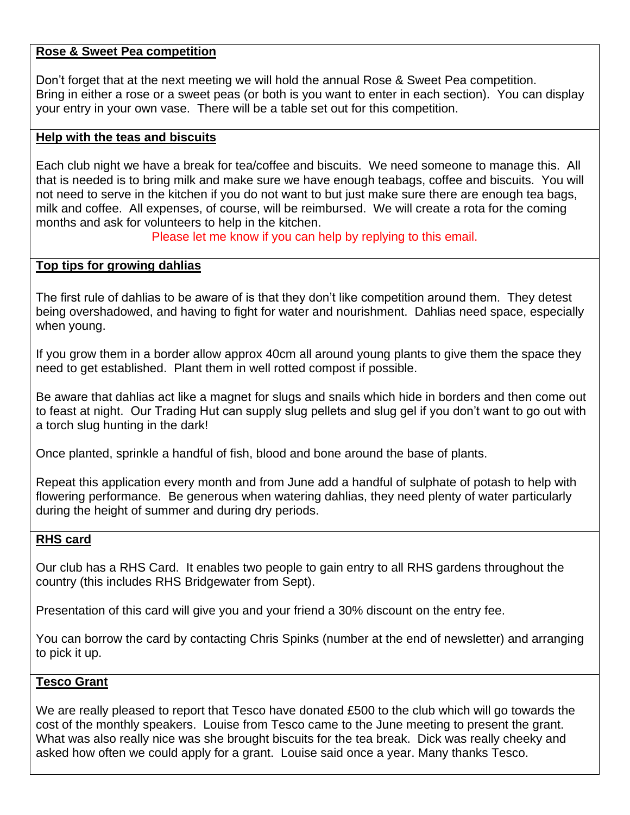## **Rose & Sweet Pea competition**

Don't forget that at the next meeting we will hold the annual Rose & Sweet Pea competition. Bring in either a rose or a sweet peas (or both is you want to enter in each section). You can display your entry in your own vase. There will be a table set out for this competition.

## **Help with the teas and biscuits**

Each club night we have a break for tea/coffee and biscuits. We need someone to manage this. All that is needed is to bring milk and make sure we have enough teabags, coffee and biscuits. You will not need to serve in the kitchen if you do not want to but just make sure there are enough tea bags, milk and coffee. All expenses, of course, will be reimbursed. We will create a rota for the coming months and ask for volunteers to help in the kitchen.

Please let me know if you can help by replying to this email.

## **Top tips for growing dahlias**

The first rule of dahlias to be aware of is that they don't like competition around them. They detest being overshadowed, and having to fight for water and nourishment. Dahlias need space, especially when young.

If you grow them in a border allow approx 40cm all around young plants to give them the space they need to get established. Plant them in well rotted compost if possible.

Be aware that dahlias act like a magnet for slugs and snails which hide in borders and then come out to feast at night. Our Trading Hut can supply slug pellets and slug gel if you don't want to go out with a torch slug hunting in the dark!

Once planted, sprinkle a handful of fish, blood and bone around the base of plants.

Repeat this application every month and from June add a handful of sulphate of potash to help with flowering performance. Be generous when watering dahlias, they need plenty of water particularly during the height of summer and during dry periods.

## **RHS card**

Our club has a RHS Card. It enables two people to gain entry to all RHS gardens throughout the country (this includes RHS Bridgewater from Sept).

Presentation of this card will give you and your friend a 30% discount on the entry fee.

You can borrow the card by contacting Chris Spinks (number at the end of newsletter) and arranging to pick it up.

## **Tesco Grant**

We are really pleased to report that Tesco have donated £500 to the club which will go towards the cost of the monthly speakers. Louise from Tesco came to the June meeting to present the grant. What was also really nice was she brought biscuits for the tea break. Dick was really cheeky and asked how often we could apply for a grant. Louise said once a year. Many thanks Tesco.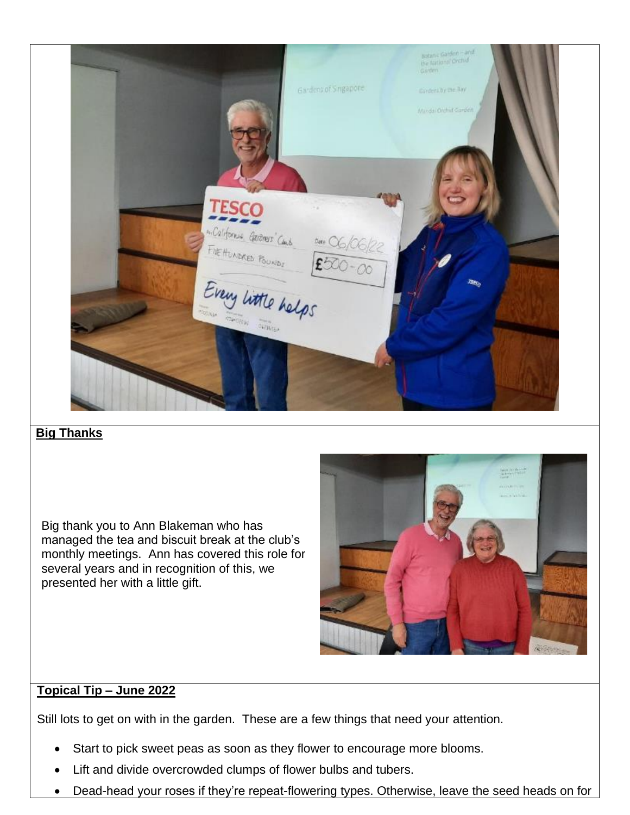|                                                                    | Gardens of Singapore | <b>Botanic Garden - and</b><br>the fatking profil<br>Garden.<br>Davident by the Bay |
|--------------------------------------------------------------------|----------------------|-------------------------------------------------------------------------------------|
|                                                                    |                      | Mandas Orchief Ganden                                                               |
|                                                                    |                      |                                                                                     |
| <b>TESCO</b><br>miCalifornia Gerevers' Cons.<br>FIE HUNDRED POUNDS |                      |                                                                                     |
| Every little helps                                                 |                      | Лъ,                                                                                 |
|                                                                    |                      |                                                                                     |
|                                                                    |                      |                                                                                     |

# **Big Thanks**

Big thank you to Ann Blakeman who has managed the tea and biscuit break at the club's monthly meetings. Ann has covered this role for several years and in recognition of this, we presented her with a little gift.



## **Topical Tip – June 2022**

Still lots to get on with in the garden. These are a few things that need your attention.

- Start to pick sweet peas as soon as they flower to encourage more blooms.
- Lift and divide overcrowded clumps of [flower bulbs and tubers.](https://www.thompson-morgan.com/flowers-plants-shrubs/flower-bulbs)
- Dead-head your roses if they're repeat-flowering types. Otherwise, leave the seed heads on for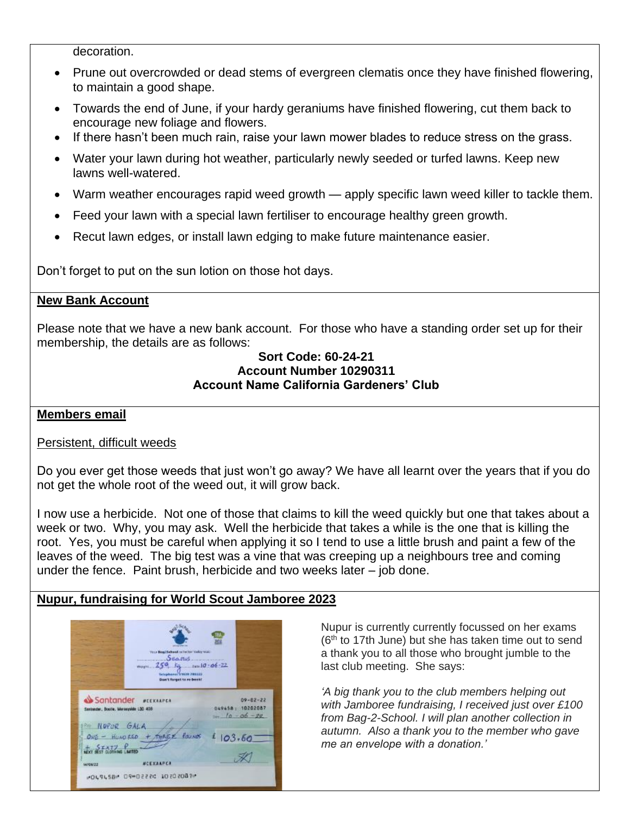decoration.

- Prune out overcrowded or dead stems of [evergreen clematis](https://search.thompson-morgan.com/search?w=evergreen%20clematis&asug=) once they have finished flowering, to maintain a good shape.
- Towards the end of June, if your hardy geraniums have finished flowering, cut them back to encourage new foliage and flowers.
- If there hasn't been much rain, raise your lawn mower blades to reduce stress on the grass.
- Water your lawn during hot weather, particularly newly seeded or turfed lawns. Keep new lawns well-watered.
- Warm weather encourages rapid weed growth apply specific [lawn weed killer](https://www.thompson-morgan.com/p/doff-4-in-1-complete-lawn-feed-weed-moss-killer/KB0176TM) to tackle them.
- Feed your lawn with a special lawn fertiliser to encourage healthy green growth.
- Recut lawn edges, or install lawn edging to make future maintenance easier.

Don't forget to put on the sun lotion on those hot days.

## **New Bank Account**

Please note that we have a new bank account. For those who have a standing order set up for their membership, the details are as follows:

#### **Sort Code: 60-24-21 Account Number 10290311 Account Name California Gardeners' Club**

## **Members email**

## Persistent, difficult weeds

Do you ever get those weeds that just won't go away? We have all learnt over the years that if you do not get the whole root of the weed out, it will grow back.

I now use a herbicide. Not one of those that claims to kill the weed quickly but one that takes about a week or two. Why, you may ask. Well the herbicide that takes a while is the one that is killing the root. Yes, you must be careful when applying it so I tend to use a little brush and paint a few of the leaves of the weed. The big test was a vine that was creeping up a neighbours tree and coming under the fence. Paint brush, herbicide and two weeks later – job done.

# **Nupur, fundraising for World Scout Jamboree 2023**

|                                        | <b>MEASURER</b>                                        |        |                  |
|----------------------------------------|--------------------------------------------------------|--------|------------------|
|                                        | Your Beat School or better biday wait<br>Seatus        |        |                  |
|                                        | $m_{\text{c}} = 250$ , kg and 0-06-22                  |        |                  |
|                                        | Vetephanuel 3 98/19 700222<br>Don't forget to re-book! |        |                  |
|                                        |                                                        |        |                  |
|                                        |                                                        |        |                  |
|                                        | Santander <i>BEEXARPEN</i>                             |        | $09 - 02 - 22$   |
| Santander, Bootle, Merseyside L30 408. |                                                        |        | DAV458: 10202087 |
|                                        |                                                        |        | $10 - 06 - 28$   |
| <b>PHO NOPUR GALA</b>                  |                                                        |        |                  |
|                                        | $ONE - HUNDRED + THASEE$ founds                        | 103.60 |                  |
| $+$ SFAIZ Pune                         |                                                        |        |                  |

Nupur is currently currently focussed on her exams (6<sup>th</sup> to 17th June) but she has taken time out to send a thank you to all those who brought jumble to the last club meeting. She says:

*'A big thank you to the club members helping out with Jamboree fundraising, I received just over £100 from Bag-2-School. I will plan another collection in autumn. Also a thank you to the member who gave me an envelope with a donation.'*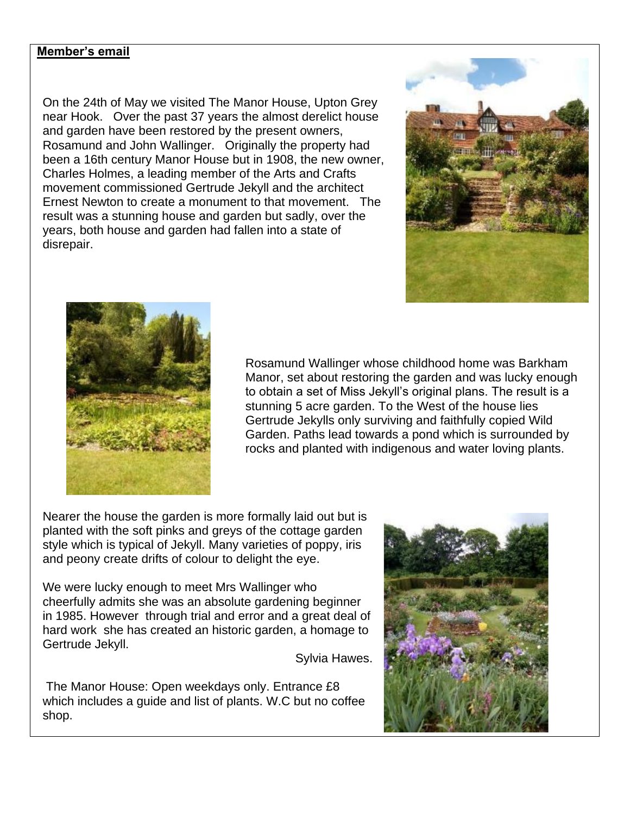## **Member's email**

On the 24th of May we visited The Manor House, Upton Grey near Hook. Over the past 37 years the almost derelict house and garden have been restored by the present owners, Rosamund and John Wallinger. Originally the property had been a 16th century Manor House but in 1908, the new owner, Charles Holmes, a leading member of the Arts and Crafts movement commissioned Gertrude Jekyll and the architect Ernest Newton to create a monument to that movement. The result was a stunning house and garden but sadly, over the years, both house and garden had fallen into a state of disrepair.





Rosamund Wallinger whose childhood home was Barkham Manor, set about restoring the garden and was lucky enough to obtain a set of Miss Jekyll's original plans. The result is a stunning 5 acre garden. To the West of the house lies Gertrude Jekylls only surviving and faithfully copied Wild Garden. Paths lead towards a pond which is surrounded by rocks and planted with indigenous and water loving plants.

Nearer the house the garden is more formally laid out but is planted with the soft pinks and greys of the cottage garden style which is typical of Jekyll. Many varieties of poppy, iris and peony create drifts of colour to delight the eye.

We were lucky enough to meet Mrs Wallinger who cheerfully admits she was an absolute gardening beginner in 1985. However through trial and error and a great deal of hard work she has created an historic garden, a homage to Gertrude Jekyll.

Sylvia Hawes.

The Manor House: Open weekdays only. Entrance £8 which includes a guide and list of plants. W.C but no coffee shop.

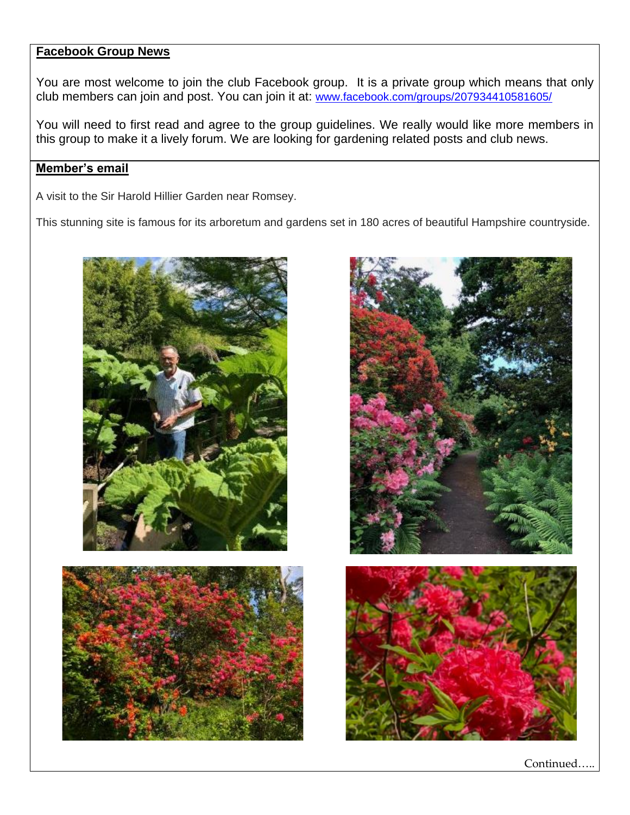#### **Facebook Group News**

You are most welcome to join the club Facebook group. It is a private group which means that only club members can join and post. You can join it at: [www.facebook.com/groups/207934410581605/](http://www.facebook.com/groups/207934410581605/)

You will need to first read and agree to the group guidelines. We really would like more members in this group to make it a lively forum. We are looking for gardening related posts and club news.

## **Member's email**

A visit to the Sir Harold Hillier Garden near Romsey.

This stunning site is famous for its arboretum and gardens set in 180 acres of beautiful Hampshire countryside.







Continued…..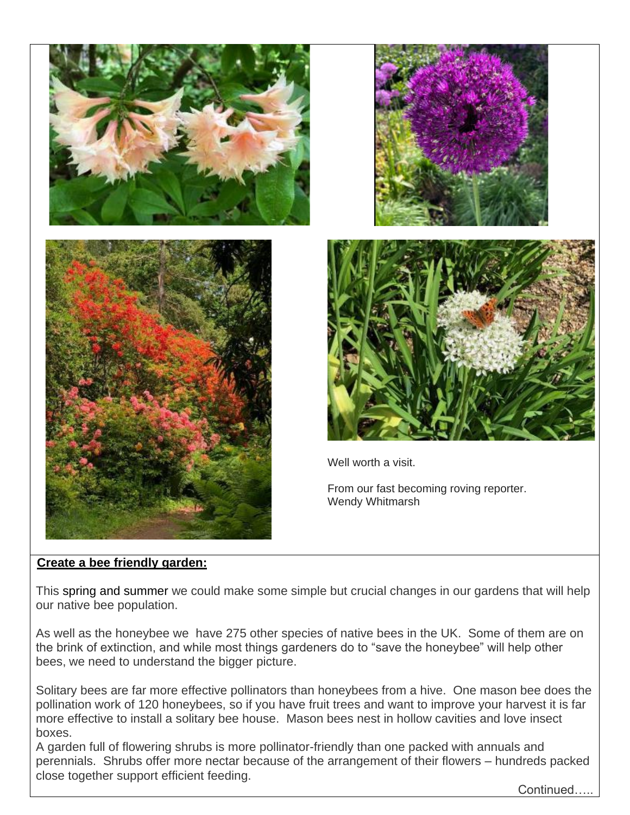



Well worth a visit.

From our fast becoming roving reporter. Wendy Whitmarsh

# **Create a bee friendly garden:**

This spring and summer we could make some simple but crucial changes in our gardens that will help our native bee population.

As well as the honeybee we have 275 other species of native bees in the UK. Some of them are on the brink of extinction, and while most things gardeners do to "save the honeybee" will help other bees, we need to understand the bigger picture.

Solitary bees are far more effective pollinators than honeybees from a hive. One mason bee does the pollination work of 120 honeybees, so if you have fruit trees and want to improve your harvest it is far more effective to install a solitary bee house. Mason bees nest in hollow cavities and love insect boxes.

A garden full of flowering shrubs is more pollinator-friendly than one packed with annuals and perennials. Shrubs offer more nectar because of the arrangement of their flowers – hundreds packed close together support efficient feeding.

Continued…..